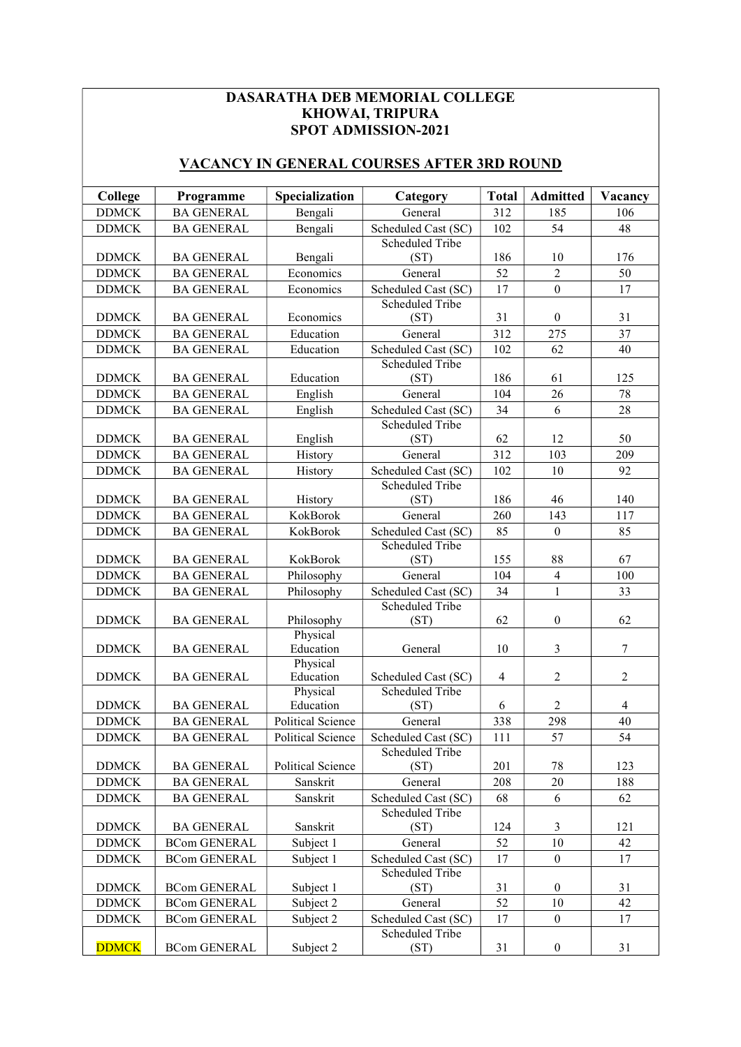## DASARATHA DEB MEMORIAL COLLEGE KHOWAI, TRIPURA SPOT ADMISSION-2021

## VACANCY IN GENERAL COURSES AFTER 3RD ROUND

| <b>DDMCK</b><br><b>BA GENERAL</b><br>Bengali<br>312<br>General<br>185<br>106<br>Scheduled Cast (SC)<br>54<br><b>DDMCK</b><br><b>BA GENERAL</b><br>Bengali<br>102<br>48<br><b>Scheduled Tribe</b><br>186<br><b>DDMCK</b><br><b>BA GENERAL</b><br>Bengali<br>10<br>176<br>(ST)<br>$\overline{2}$<br>50<br><b>DDMCK</b><br><b>BA GENERAL</b><br>Economics<br>52<br>General<br>17<br>17<br><b>DDMCK</b><br><b>BA GENERAL</b><br>Economics<br>Scheduled Cast (SC)<br>$\theta$<br><b>Scheduled Tribe</b><br><b>DDMCK</b><br><b>BA GENERAL</b><br>Economics<br>31<br>$\theta$<br>31<br>(ST)<br>Education<br>312<br>275<br>37<br><b>DDMCK</b><br><b>BA GENERAL</b><br>General<br><b>DDMCK</b><br><b>BA GENERAL</b><br>Education<br>Scheduled Cast (SC)<br>102<br>62<br>40<br><b>Scheduled Tribe</b><br><b>BA GENERAL</b><br>Education<br>(ST)<br>186<br>125<br><b>DDMCK</b><br>61<br>26<br>78<br><b>DDMCK</b><br><b>BA GENERAL</b><br>English<br>104<br>General<br>6<br>28<br><b>DDMCK</b><br><b>BA GENERAL</b><br>English<br>Scheduled Cast (SC)<br>34<br>Scheduled Tribe<br>12<br><b>DDMCK</b><br><b>BA GENERAL</b><br>English<br>(ST)<br>62<br>50<br>312<br><b>DDMCK</b><br><b>BA GENERAL</b><br>103<br>209<br>History<br>General<br>Scheduled Cast (SC)<br><b>DDMCK</b><br><b>BA GENERAL</b><br>102<br>10<br>92<br>History<br><b>Scheduled Tribe</b><br><b>DDMCK</b><br>(ST)<br>186<br>46<br>140<br><b>BA GENERAL</b><br>History<br>KokBorok<br>260<br>143<br>117<br><b>DDMCK</b><br><b>BA GENERAL</b><br>General<br>85<br><b>DDMCK</b><br><b>BA GENERAL</b><br>KokBorok<br>Scheduled Cast (SC)<br>85<br>$\boldsymbol{0}$<br><b>Scheduled Tribe</b><br>KokBorok<br>(ST)<br>155<br>88<br>67<br><b>DDMCK</b><br><b>BA GENERAL</b><br>$\overline{4}$<br><b>DDMCK</b><br><b>BA GENERAL</b><br>Philosophy<br>104<br>100<br>General<br>$\mathbf{1}$<br>Philosophy<br>Scheduled Cast (SC)<br>34<br>33<br><b>DDMCK</b><br><b>BA GENERAL</b><br>Scheduled Tribe<br>Philosophy<br>(ST)<br>62<br>$\boldsymbol{0}$<br>62<br><b>DDMCK</b><br><b>BA GENERAL</b><br>Physical<br>$\overline{3}$<br>$\boldsymbol{7}$<br><b>DDMCK</b><br><b>BA GENERAL</b><br>Education<br>10<br>General<br>Physical<br>$\overline{c}$<br><b>BA GENERAL</b><br>Education<br>Scheduled Cast (SC)<br>$\overline{4}$<br>$\overline{2}$<br><b>DDMCK</b><br>Scheduled Tribe<br>Physical<br><b>BA GENERAL</b><br>Education<br>$\overline{2}$<br><b>DDMCK</b><br>(ST)<br>6<br>4<br><b>BA GENERAL</b><br>Political Science<br><b>DDMCK</b><br>General<br>338<br>298<br>40<br>57<br>54<br><b>BA GENERAL</b><br>Political Science<br>Scheduled Cast (SC)<br>$111\,$<br><b>DDMCK</b><br>Scheduled Tribe<br>123<br><b>DDMCK</b><br><b>BA GENERAL</b><br>Political Science<br>(ST)<br>201<br>78<br>208<br>20<br>188<br><b>DDMCK</b><br><b>BA GENERAL</b><br>Sanskrit<br>General<br><b>DDMCK</b><br><b>BA GENERAL</b><br>Sanskrit<br>Scheduled Cast (SC)<br>68<br>6<br>62<br>Scheduled Tribe<br><b>DDMCK</b><br><b>BA GENERAL</b><br>Sanskrit<br>(ST)<br>124<br>3<br>121<br><b>DDMCK</b><br><b>BCom GENERAL</b><br>Subject 1<br>52<br>42<br>General<br>10<br>$\boldsymbol{0}$<br><b>DDMCK</b><br><b>BCom GENERAL</b><br>Subject 1<br>Scheduled Cast (SC)<br>17<br>17<br>Scheduled Tribe<br><b>DDMCK</b><br><b>BCom GENERAL</b><br>Subject 1<br>(ST)<br>31<br>$\mathbf{0}$<br>31<br>52<br>Subject 2<br>General<br>42<br><b>DDMCK</b><br><b>BCom GENERAL</b><br>10<br><b>DDMCK</b><br><b>BCom GENERAL</b><br>Subject 2<br>Scheduled Cast (SC)<br>$\boldsymbol{0}$<br>17<br>17<br>Scheduled Tribe | College      | Programme           | Specialization | Category | <b>Total</b> | <b>Admitted</b>  | Vacancy |
|--------------------------------------------------------------------------------------------------------------------------------------------------------------------------------------------------------------------------------------------------------------------------------------------------------------------------------------------------------------------------------------------------------------------------------------------------------------------------------------------------------------------------------------------------------------------------------------------------------------------------------------------------------------------------------------------------------------------------------------------------------------------------------------------------------------------------------------------------------------------------------------------------------------------------------------------------------------------------------------------------------------------------------------------------------------------------------------------------------------------------------------------------------------------------------------------------------------------------------------------------------------------------------------------------------------------------------------------------------------------------------------------------------------------------------------------------------------------------------------------------------------------------------------------------------------------------------------------------------------------------------------------------------------------------------------------------------------------------------------------------------------------------------------------------------------------------------------------------------------------------------------------------------------------------------------------------------------------------------------------------------------------------------------------------------------------------------------------------------------------------------------------------------------------------------------------------------------------------------------------------------------------------------------------------------------------------------------------------------------------------------------------------------------------------------------------------------------------------------------------------------------------------------------------------------------------------------------------------------------------------------------------------------------------------------------------------------------------------------------------------------------------------------------------------------------------------------------------------------------------------------------------------------------------------------------------------------------------------------------------------------------------------------------------------------------------------------------------------------------------------------------------------------------------------------------------------------------------------------------------------------------------------------------------------------------------------------------------------------------------------------------------------------------------------------------------------------------------------------------------------------------------------------------------|--------------|---------------------|----------------|----------|--------------|------------------|---------|
|                                                                                                                                                                                                                                                                                                                                                                                                                                                                                                                                                                                                                                                                                                                                                                                                                                                                                                                                                                                                                                                                                                                                                                                                                                                                                                                                                                                                                                                                                                                                                                                                                                                                                                                                                                                                                                                                                                                                                                                                                                                                                                                                                                                                                                                                                                                                                                                                                                                                                                                                                                                                                                                                                                                                                                                                                                                                                                                                                                                                                                                                                                                                                                                                                                                                                                                                                                                                                                                                                                                                            |              |                     |                |          |              |                  |         |
|                                                                                                                                                                                                                                                                                                                                                                                                                                                                                                                                                                                                                                                                                                                                                                                                                                                                                                                                                                                                                                                                                                                                                                                                                                                                                                                                                                                                                                                                                                                                                                                                                                                                                                                                                                                                                                                                                                                                                                                                                                                                                                                                                                                                                                                                                                                                                                                                                                                                                                                                                                                                                                                                                                                                                                                                                                                                                                                                                                                                                                                                                                                                                                                                                                                                                                                                                                                                                                                                                                                                            |              |                     |                |          |              |                  |         |
|                                                                                                                                                                                                                                                                                                                                                                                                                                                                                                                                                                                                                                                                                                                                                                                                                                                                                                                                                                                                                                                                                                                                                                                                                                                                                                                                                                                                                                                                                                                                                                                                                                                                                                                                                                                                                                                                                                                                                                                                                                                                                                                                                                                                                                                                                                                                                                                                                                                                                                                                                                                                                                                                                                                                                                                                                                                                                                                                                                                                                                                                                                                                                                                                                                                                                                                                                                                                                                                                                                                                            |              |                     |                |          |              |                  |         |
|                                                                                                                                                                                                                                                                                                                                                                                                                                                                                                                                                                                                                                                                                                                                                                                                                                                                                                                                                                                                                                                                                                                                                                                                                                                                                                                                                                                                                                                                                                                                                                                                                                                                                                                                                                                                                                                                                                                                                                                                                                                                                                                                                                                                                                                                                                                                                                                                                                                                                                                                                                                                                                                                                                                                                                                                                                                                                                                                                                                                                                                                                                                                                                                                                                                                                                                                                                                                                                                                                                                                            |              |                     |                |          |              |                  |         |
|                                                                                                                                                                                                                                                                                                                                                                                                                                                                                                                                                                                                                                                                                                                                                                                                                                                                                                                                                                                                                                                                                                                                                                                                                                                                                                                                                                                                                                                                                                                                                                                                                                                                                                                                                                                                                                                                                                                                                                                                                                                                                                                                                                                                                                                                                                                                                                                                                                                                                                                                                                                                                                                                                                                                                                                                                                                                                                                                                                                                                                                                                                                                                                                                                                                                                                                                                                                                                                                                                                                                            |              |                     |                |          |              |                  |         |
|                                                                                                                                                                                                                                                                                                                                                                                                                                                                                                                                                                                                                                                                                                                                                                                                                                                                                                                                                                                                                                                                                                                                                                                                                                                                                                                                                                                                                                                                                                                                                                                                                                                                                                                                                                                                                                                                                                                                                                                                                                                                                                                                                                                                                                                                                                                                                                                                                                                                                                                                                                                                                                                                                                                                                                                                                                                                                                                                                                                                                                                                                                                                                                                                                                                                                                                                                                                                                                                                                                                                            |              |                     |                |          |              |                  |         |
|                                                                                                                                                                                                                                                                                                                                                                                                                                                                                                                                                                                                                                                                                                                                                                                                                                                                                                                                                                                                                                                                                                                                                                                                                                                                                                                                                                                                                                                                                                                                                                                                                                                                                                                                                                                                                                                                                                                                                                                                                                                                                                                                                                                                                                                                                                                                                                                                                                                                                                                                                                                                                                                                                                                                                                                                                                                                                                                                                                                                                                                                                                                                                                                                                                                                                                                                                                                                                                                                                                                                            |              |                     |                |          |              |                  |         |
|                                                                                                                                                                                                                                                                                                                                                                                                                                                                                                                                                                                                                                                                                                                                                                                                                                                                                                                                                                                                                                                                                                                                                                                                                                                                                                                                                                                                                                                                                                                                                                                                                                                                                                                                                                                                                                                                                                                                                                                                                                                                                                                                                                                                                                                                                                                                                                                                                                                                                                                                                                                                                                                                                                                                                                                                                                                                                                                                                                                                                                                                                                                                                                                                                                                                                                                                                                                                                                                                                                                                            |              |                     |                |          |              |                  |         |
|                                                                                                                                                                                                                                                                                                                                                                                                                                                                                                                                                                                                                                                                                                                                                                                                                                                                                                                                                                                                                                                                                                                                                                                                                                                                                                                                                                                                                                                                                                                                                                                                                                                                                                                                                                                                                                                                                                                                                                                                                                                                                                                                                                                                                                                                                                                                                                                                                                                                                                                                                                                                                                                                                                                                                                                                                                                                                                                                                                                                                                                                                                                                                                                                                                                                                                                                                                                                                                                                                                                                            |              |                     |                |          |              |                  |         |
|                                                                                                                                                                                                                                                                                                                                                                                                                                                                                                                                                                                                                                                                                                                                                                                                                                                                                                                                                                                                                                                                                                                                                                                                                                                                                                                                                                                                                                                                                                                                                                                                                                                                                                                                                                                                                                                                                                                                                                                                                                                                                                                                                                                                                                                                                                                                                                                                                                                                                                                                                                                                                                                                                                                                                                                                                                                                                                                                                                                                                                                                                                                                                                                                                                                                                                                                                                                                                                                                                                                                            |              |                     |                |          |              |                  |         |
|                                                                                                                                                                                                                                                                                                                                                                                                                                                                                                                                                                                                                                                                                                                                                                                                                                                                                                                                                                                                                                                                                                                                                                                                                                                                                                                                                                                                                                                                                                                                                                                                                                                                                                                                                                                                                                                                                                                                                                                                                                                                                                                                                                                                                                                                                                                                                                                                                                                                                                                                                                                                                                                                                                                                                                                                                                                                                                                                                                                                                                                                                                                                                                                                                                                                                                                                                                                                                                                                                                                                            |              |                     |                |          |              |                  |         |
|                                                                                                                                                                                                                                                                                                                                                                                                                                                                                                                                                                                                                                                                                                                                                                                                                                                                                                                                                                                                                                                                                                                                                                                                                                                                                                                                                                                                                                                                                                                                                                                                                                                                                                                                                                                                                                                                                                                                                                                                                                                                                                                                                                                                                                                                                                                                                                                                                                                                                                                                                                                                                                                                                                                                                                                                                                                                                                                                                                                                                                                                                                                                                                                                                                                                                                                                                                                                                                                                                                                                            |              |                     |                |          |              |                  |         |
|                                                                                                                                                                                                                                                                                                                                                                                                                                                                                                                                                                                                                                                                                                                                                                                                                                                                                                                                                                                                                                                                                                                                                                                                                                                                                                                                                                                                                                                                                                                                                                                                                                                                                                                                                                                                                                                                                                                                                                                                                                                                                                                                                                                                                                                                                                                                                                                                                                                                                                                                                                                                                                                                                                                                                                                                                                                                                                                                                                                                                                                                                                                                                                                                                                                                                                                                                                                                                                                                                                                                            |              |                     |                |          |              |                  |         |
|                                                                                                                                                                                                                                                                                                                                                                                                                                                                                                                                                                                                                                                                                                                                                                                                                                                                                                                                                                                                                                                                                                                                                                                                                                                                                                                                                                                                                                                                                                                                                                                                                                                                                                                                                                                                                                                                                                                                                                                                                                                                                                                                                                                                                                                                                                                                                                                                                                                                                                                                                                                                                                                                                                                                                                                                                                                                                                                                                                                                                                                                                                                                                                                                                                                                                                                                                                                                                                                                                                                                            |              |                     |                |          |              |                  |         |
|                                                                                                                                                                                                                                                                                                                                                                                                                                                                                                                                                                                                                                                                                                                                                                                                                                                                                                                                                                                                                                                                                                                                                                                                                                                                                                                                                                                                                                                                                                                                                                                                                                                                                                                                                                                                                                                                                                                                                                                                                                                                                                                                                                                                                                                                                                                                                                                                                                                                                                                                                                                                                                                                                                                                                                                                                                                                                                                                                                                                                                                                                                                                                                                                                                                                                                                                                                                                                                                                                                                                            |              |                     |                |          |              |                  |         |
|                                                                                                                                                                                                                                                                                                                                                                                                                                                                                                                                                                                                                                                                                                                                                                                                                                                                                                                                                                                                                                                                                                                                                                                                                                                                                                                                                                                                                                                                                                                                                                                                                                                                                                                                                                                                                                                                                                                                                                                                                                                                                                                                                                                                                                                                                                                                                                                                                                                                                                                                                                                                                                                                                                                                                                                                                                                                                                                                                                                                                                                                                                                                                                                                                                                                                                                                                                                                                                                                                                                                            |              |                     |                |          |              |                  |         |
|                                                                                                                                                                                                                                                                                                                                                                                                                                                                                                                                                                                                                                                                                                                                                                                                                                                                                                                                                                                                                                                                                                                                                                                                                                                                                                                                                                                                                                                                                                                                                                                                                                                                                                                                                                                                                                                                                                                                                                                                                                                                                                                                                                                                                                                                                                                                                                                                                                                                                                                                                                                                                                                                                                                                                                                                                                                                                                                                                                                                                                                                                                                                                                                                                                                                                                                                                                                                                                                                                                                                            |              |                     |                |          |              |                  |         |
|                                                                                                                                                                                                                                                                                                                                                                                                                                                                                                                                                                                                                                                                                                                                                                                                                                                                                                                                                                                                                                                                                                                                                                                                                                                                                                                                                                                                                                                                                                                                                                                                                                                                                                                                                                                                                                                                                                                                                                                                                                                                                                                                                                                                                                                                                                                                                                                                                                                                                                                                                                                                                                                                                                                                                                                                                                                                                                                                                                                                                                                                                                                                                                                                                                                                                                                                                                                                                                                                                                                                            |              |                     |                |          |              |                  |         |
|                                                                                                                                                                                                                                                                                                                                                                                                                                                                                                                                                                                                                                                                                                                                                                                                                                                                                                                                                                                                                                                                                                                                                                                                                                                                                                                                                                                                                                                                                                                                                                                                                                                                                                                                                                                                                                                                                                                                                                                                                                                                                                                                                                                                                                                                                                                                                                                                                                                                                                                                                                                                                                                                                                                                                                                                                                                                                                                                                                                                                                                                                                                                                                                                                                                                                                                                                                                                                                                                                                                                            |              |                     |                |          |              |                  |         |
|                                                                                                                                                                                                                                                                                                                                                                                                                                                                                                                                                                                                                                                                                                                                                                                                                                                                                                                                                                                                                                                                                                                                                                                                                                                                                                                                                                                                                                                                                                                                                                                                                                                                                                                                                                                                                                                                                                                                                                                                                                                                                                                                                                                                                                                                                                                                                                                                                                                                                                                                                                                                                                                                                                                                                                                                                                                                                                                                                                                                                                                                                                                                                                                                                                                                                                                                                                                                                                                                                                                                            |              |                     |                |          |              |                  |         |
|                                                                                                                                                                                                                                                                                                                                                                                                                                                                                                                                                                                                                                                                                                                                                                                                                                                                                                                                                                                                                                                                                                                                                                                                                                                                                                                                                                                                                                                                                                                                                                                                                                                                                                                                                                                                                                                                                                                                                                                                                                                                                                                                                                                                                                                                                                                                                                                                                                                                                                                                                                                                                                                                                                                                                                                                                                                                                                                                                                                                                                                                                                                                                                                                                                                                                                                                                                                                                                                                                                                                            |              |                     |                |          |              |                  |         |
|                                                                                                                                                                                                                                                                                                                                                                                                                                                                                                                                                                                                                                                                                                                                                                                                                                                                                                                                                                                                                                                                                                                                                                                                                                                                                                                                                                                                                                                                                                                                                                                                                                                                                                                                                                                                                                                                                                                                                                                                                                                                                                                                                                                                                                                                                                                                                                                                                                                                                                                                                                                                                                                                                                                                                                                                                                                                                                                                                                                                                                                                                                                                                                                                                                                                                                                                                                                                                                                                                                                                            |              |                     |                |          |              |                  |         |
|                                                                                                                                                                                                                                                                                                                                                                                                                                                                                                                                                                                                                                                                                                                                                                                                                                                                                                                                                                                                                                                                                                                                                                                                                                                                                                                                                                                                                                                                                                                                                                                                                                                                                                                                                                                                                                                                                                                                                                                                                                                                                                                                                                                                                                                                                                                                                                                                                                                                                                                                                                                                                                                                                                                                                                                                                                                                                                                                                                                                                                                                                                                                                                                                                                                                                                                                                                                                                                                                                                                                            |              |                     |                |          |              |                  |         |
|                                                                                                                                                                                                                                                                                                                                                                                                                                                                                                                                                                                                                                                                                                                                                                                                                                                                                                                                                                                                                                                                                                                                                                                                                                                                                                                                                                                                                                                                                                                                                                                                                                                                                                                                                                                                                                                                                                                                                                                                                                                                                                                                                                                                                                                                                                                                                                                                                                                                                                                                                                                                                                                                                                                                                                                                                                                                                                                                                                                                                                                                                                                                                                                                                                                                                                                                                                                                                                                                                                                                            |              |                     |                |          |              |                  |         |
|                                                                                                                                                                                                                                                                                                                                                                                                                                                                                                                                                                                                                                                                                                                                                                                                                                                                                                                                                                                                                                                                                                                                                                                                                                                                                                                                                                                                                                                                                                                                                                                                                                                                                                                                                                                                                                                                                                                                                                                                                                                                                                                                                                                                                                                                                                                                                                                                                                                                                                                                                                                                                                                                                                                                                                                                                                                                                                                                                                                                                                                                                                                                                                                                                                                                                                                                                                                                                                                                                                                                            |              |                     |                |          |              |                  |         |
|                                                                                                                                                                                                                                                                                                                                                                                                                                                                                                                                                                                                                                                                                                                                                                                                                                                                                                                                                                                                                                                                                                                                                                                                                                                                                                                                                                                                                                                                                                                                                                                                                                                                                                                                                                                                                                                                                                                                                                                                                                                                                                                                                                                                                                                                                                                                                                                                                                                                                                                                                                                                                                                                                                                                                                                                                                                                                                                                                                                                                                                                                                                                                                                                                                                                                                                                                                                                                                                                                                                                            |              |                     |                |          |              |                  |         |
|                                                                                                                                                                                                                                                                                                                                                                                                                                                                                                                                                                                                                                                                                                                                                                                                                                                                                                                                                                                                                                                                                                                                                                                                                                                                                                                                                                                                                                                                                                                                                                                                                                                                                                                                                                                                                                                                                                                                                                                                                                                                                                                                                                                                                                                                                                                                                                                                                                                                                                                                                                                                                                                                                                                                                                                                                                                                                                                                                                                                                                                                                                                                                                                                                                                                                                                                                                                                                                                                                                                                            |              |                     |                |          |              |                  |         |
|                                                                                                                                                                                                                                                                                                                                                                                                                                                                                                                                                                                                                                                                                                                                                                                                                                                                                                                                                                                                                                                                                                                                                                                                                                                                                                                                                                                                                                                                                                                                                                                                                                                                                                                                                                                                                                                                                                                                                                                                                                                                                                                                                                                                                                                                                                                                                                                                                                                                                                                                                                                                                                                                                                                                                                                                                                                                                                                                                                                                                                                                                                                                                                                                                                                                                                                                                                                                                                                                                                                                            |              |                     |                |          |              |                  |         |
|                                                                                                                                                                                                                                                                                                                                                                                                                                                                                                                                                                                                                                                                                                                                                                                                                                                                                                                                                                                                                                                                                                                                                                                                                                                                                                                                                                                                                                                                                                                                                                                                                                                                                                                                                                                                                                                                                                                                                                                                                                                                                                                                                                                                                                                                                                                                                                                                                                                                                                                                                                                                                                                                                                                                                                                                                                                                                                                                                                                                                                                                                                                                                                                                                                                                                                                                                                                                                                                                                                                                            |              |                     |                |          |              |                  |         |
|                                                                                                                                                                                                                                                                                                                                                                                                                                                                                                                                                                                                                                                                                                                                                                                                                                                                                                                                                                                                                                                                                                                                                                                                                                                                                                                                                                                                                                                                                                                                                                                                                                                                                                                                                                                                                                                                                                                                                                                                                                                                                                                                                                                                                                                                                                                                                                                                                                                                                                                                                                                                                                                                                                                                                                                                                                                                                                                                                                                                                                                                                                                                                                                                                                                                                                                                                                                                                                                                                                                                            |              |                     |                |          |              |                  |         |
|                                                                                                                                                                                                                                                                                                                                                                                                                                                                                                                                                                                                                                                                                                                                                                                                                                                                                                                                                                                                                                                                                                                                                                                                                                                                                                                                                                                                                                                                                                                                                                                                                                                                                                                                                                                                                                                                                                                                                                                                                                                                                                                                                                                                                                                                                                                                                                                                                                                                                                                                                                                                                                                                                                                                                                                                                                                                                                                                                                                                                                                                                                                                                                                                                                                                                                                                                                                                                                                                                                                                            |              |                     |                |          |              |                  |         |
|                                                                                                                                                                                                                                                                                                                                                                                                                                                                                                                                                                                                                                                                                                                                                                                                                                                                                                                                                                                                                                                                                                                                                                                                                                                                                                                                                                                                                                                                                                                                                                                                                                                                                                                                                                                                                                                                                                                                                                                                                                                                                                                                                                                                                                                                                                                                                                                                                                                                                                                                                                                                                                                                                                                                                                                                                                                                                                                                                                                                                                                                                                                                                                                                                                                                                                                                                                                                                                                                                                                                            |              |                     |                |          |              |                  |         |
|                                                                                                                                                                                                                                                                                                                                                                                                                                                                                                                                                                                                                                                                                                                                                                                                                                                                                                                                                                                                                                                                                                                                                                                                                                                                                                                                                                                                                                                                                                                                                                                                                                                                                                                                                                                                                                                                                                                                                                                                                                                                                                                                                                                                                                                                                                                                                                                                                                                                                                                                                                                                                                                                                                                                                                                                                                                                                                                                                                                                                                                                                                                                                                                                                                                                                                                                                                                                                                                                                                                                            |              |                     |                |          |              |                  |         |
|                                                                                                                                                                                                                                                                                                                                                                                                                                                                                                                                                                                                                                                                                                                                                                                                                                                                                                                                                                                                                                                                                                                                                                                                                                                                                                                                                                                                                                                                                                                                                                                                                                                                                                                                                                                                                                                                                                                                                                                                                                                                                                                                                                                                                                                                                                                                                                                                                                                                                                                                                                                                                                                                                                                                                                                                                                                                                                                                                                                                                                                                                                                                                                                                                                                                                                                                                                                                                                                                                                                                            |              |                     |                |          |              |                  |         |
|                                                                                                                                                                                                                                                                                                                                                                                                                                                                                                                                                                                                                                                                                                                                                                                                                                                                                                                                                                                                                                                                                                                                                                                                                                                                                                                                                                                                                                                                                                                                                                                                                                                                                                                                                                                                                                                                                                                                                                                                                                                                                                                                                                                                                                                                                                                                                                                                                                                                                                                                                                                                                                                                                                                                                                                                                                                                                                                                                                                                                                                                                                                                                                                                                                                                                                                                                                                                                                                                                                                                            |              |                     |                |          |              |                  |         |
|                                                                                                                                                                                                                                                                                                                                                                                                                                                                                                                                                                                                                                                                                                                                                                                                                                                                                                                                                                                                                                                                                                                                                                                                                                                                                                                                                                                                                                                                                                                                                                                                                                                                                                                                                                                                                                                                                                                                                                                                                                                                                                                                                                                                                                                                                                                                                                                                                                                                                                                                                                                                                                                                                                                                                                                                                                                                                                                                                                                                                                                                                                                                                                                                                                                                                                                                                                                                                                                                                                                                            |              |                     |                |          |              |                  |         |
|                                                                                                                                                                                                                                                                                                                                                                                                                                                                                                                                                                                                                                                                                                                                                                                                                                                                                                                                                                                                                                                                                                                                                                                                                                                                                                                                                                                                                                                                                                                                                                                                                                                                                                                                                                                                                                                                                                                                                                                                                                                                                                                                                                                                                                                                                                                                                                                                                                                                                                                                                                                                                                                                                                                                                                                                                                                                                                                                                                                                                                                                                                                                                                                                                                                                                                                                                                                                                                                                                                                                            |              |                     |                |          |              |                  |         |
|                                                                                                                                                                                                                                                                                                                                                                                                                                                                                                                                                                                                                                                                                                                                                                                                                                                                                                                                                                                                                                                                                                                                                                                                                                                                                                                                                                                                                                                                                                                                                                                                                                                                                                                                                                                                                                                                                                                                                                                                                                                                                                                                                                                                                                                                                                                                                                                                                                                                                                                                                                                                                                                                                                                                                                                                                                                                                                                                                                                                                                                                                                                                                                                                                                                                                                                                                                                                                                                                                                                                            |              |                     |                |          |              |                  |         |
|                                                                                                                                                                                                                                                                                                                                                                                                                                                                                                                                                                                                                                                                                                                                                                                                                                                                                                                                                                                                                                                                                                                                                                                                                                                                                                                                                                                                                                                                                                                                                                                                                                                                                                                                                                                                                                                                                                                                                                                                                                                                                                                                                                                                                                                                                                                                                                                                                                                                                                                                                                                                                                                                                                                                                                                                                                                                                                                                                                                                                                                                                                                                                                                                                                                                                                                                                                                                                                                                                                                                            |              |                     |                |          |              |                  |         |
|                                                                                                                                                                                                                                                                                                                                                                                                                                                                                                                                                                                                                                                                                                                                                                                                                                                                                                                                                                                                                                                                                                                                                                                                                                                                                                                                                                                                                                                                                                                                                                                                                                                                                                                                                                                                                                                                                                                                                                                                                                                                                                                                                                                                                                                                                                                                                                                                                                                                                                                                                                                                                                                                                                                                                                                                                                                                                                                                                                                                                                                                                                                                                                                                                                                                                                                                                                                                                                                                                                                                            |              |                     |                |          |              |                  |         |
|                                                                                                                                                                                                                                                                                                                                                                                                                                                                                                                                                                                                                                                                                                                                                                                                                                                                                                                                                                                                                                                                                                                                                                                                                                                                                                                                                                                                                                                                                                                                                                                                                                                                                                                                                                                                                                                                                                                                                                                                                                                                                                                                                                                                                                                                                                                                                                                                                                                                                                                                                                                                                                                                                                                                                                                                                                                                                                                                                                                                                                                                                                                                                                                                                                                                                                                                                                                                                                                                                                                                            |              |                     |                |          |              |                  |         |
|                                                                                                                                                                                                                                                                                                                                                                                                                                                                                                                                                                                                                                                                                                                                                                                                                                                                                                                                                                                                                                                                                                                                                                                                                                                                                                                                                                                                                                                                                                                                                                                                                                                                                                                                                                                                                                                                                                                                                                                                                                                                                                                                                                                                                                                                                                                                                                                                                                                                                                                                                                                                                                                                                                                                                                                                                                                                                                                                                                                                                                                                                                                                                                                                                                                                                                                                                                                                                                                                                                                                            |              |                     |                |          |              |                  |         |
|                                                                                                                                                                                                                                                                                                                                                                                                                                                                                                                                                                                                                                                                                                                                                                                                                                                                                                                                                                                                                                                                                                                                                                                                                                                                                                                                                                                                                                                                                                                                                                                                                                                                                                                                                                                                                                                                                                                                                                                                                                                                                                                                                                                                                                                                                                                                                                                                                                                                                                                                                                                                                                                                                                                                                                                                                                                                                                                                                                                                                                                                                                                                                                                                                                                                                                                                                                                                                                                                                                                                            |              |                     |                |          |              |                  |         |
|                                                                                                                                                                                                                                                                                                                                                                                                                                                                                                                                                                                                                                                                                                                                                                                                                                                                                                                                                                                                                                                                                                                                                                                                                                                                                                                                                                                                                                                                                                                                                                                                                                                                                                                                                                                                                                                                                                                                                                                                                                                                                                                                                                                                                                                                                                                                                                                                                                                                                                                                                                                                                                                                                                                                                                                                                                                                                                                                                                                                                                                                                                                                                                                                                                                                                                                                                                                                                                                                                                                                            |              |                     |                |          |              |                  |         |
|                                                                                                                                                                                                                                                                                                                                                                                                                                                                                                                                                                                                                                                                                                                                                                                                                                                                                                                                                                                                                                                                                                                                                                                                                                                                                                                                                                                                                                                                                                                                                                                                                                                                                                                                                                                                                                                                                                                                                                                                                                                                                                                                                                                                                                                                                                                                                                                                                                                                                                                                                                                                                                                                                                                                                                                                                                                                                                                                                                                                                                                                                                                                                                                                                                                                                                                                                                                                                                                                                                                                            |              |                     |                |          |              |                  |         |
|                                                                                                                                                                                                                                                                                                                                                                                                                                                                                                                                                                                                                                                                                                                                                                                                                                                                                                                                                                                                                                                                                                                                                                                                                                                                                                                                                                                                                                                                                                                                                                                                                                                                                                                                                                                                                                                                                                                                                                                                                                                                                                                                                                                                                                                                                                                                                                                                                                                                                                                                                                                                                                                                                                                                                                                                                                                                                                                                                                                                                                                                                                                                                                                                                                                                                                                                                                                                                                                                                                                                            |              |                     |                |          |              |                  |         |
|                                                                                                                                                                                                                                                                                                                                                                                                                                                                                                                                                                                                                                                                                                                                                                                                                                                                                                                                                                                                                                                                                                                                                                                                                                                                                                                                                                                                                                                                                                                                                                                                                                                                                                                                                                                                                                                                                                                                                                                                                                                                                                                                                                                                                                                                                                                                                                                                                                                                                                                                                                                                                                                                                                                                                                                                                                                                                                                                                                                                                                                                                                                                                                                                                                                                                                                                                                                                                                                                                                                                            |              |                     |                |          |              |                  |         |
|                                                                                                                                                                                                                                                                                                                                                                                                                                                                                                                                                                                                                                                                                                                                                                                                                                                                                                                                                                                                                                                                                                                                                                                                                                                                                                                                                                                                                                                                                                                                                                                                                                                                                                                                                                                                                                                                                                                                                                                                                                                                                                                                                                                                                                                                                                                                                                                                                                                                                                                                                                                                                                                                                                                                                                                                                                                                                                                                                                                                                                                                                                                                                                                                                                                                                                                                                                                                                                                                                                                                            | <b>DDMCK</b> | <b>BCom GENERAL</b> | Subject 2      | (ST)     | 31           | $\boldsymbol{0}$ | 31      |